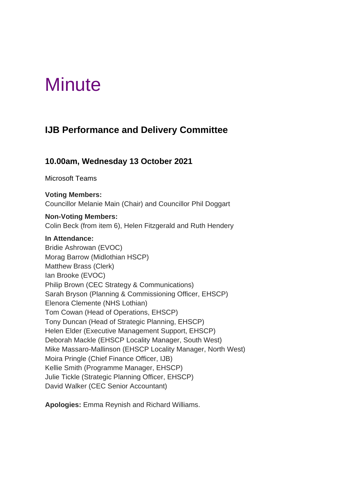# **Minute**

# **IJB Performance and Delivery Committee**

# **10.00am, Wednesday 13 October 2021**

Microsoft Teams

**Voting Members:** Councillor Melanie Main (Chair) and Councillor Phil Doggart

**Non-Voting Members:** Colin Beck (from item 6), Helen Fitzgerald and Ruth Hendery

#### **In Attendance:**

Bridie Ashrowan (EVOC) Morag Barrow (Midlothian HSCP) Matthew Brass (Clerk) Ian Brooke (EVOC) Philip Brown (CEC Strategy & Communications) Sarah Bryson (Planning & Commissioning Officer, EHSCP) Elenora Clemente (NHS Lothian) Tom Cowan (Head of Operations, EHSCP) Tony Duncan (Head of Strategic Planning, EHSCP) Helen Elder (Executive Management Support, EHSCP) Deborah Mackle (EHSCP Locality Manager, South West) Mike Massaro-Mallinson (EHSCP Locality Manager, North West) Moira Pringle (Chief Finance Officer, IJB) Kellie Smith (Programme Manager, EHSCP) Julie Tickle (Strategic Planning Officer, EHSCP) David Walker (CEC Senior Accountant)

**Apologies:** Emma Reynish and Richard Williams.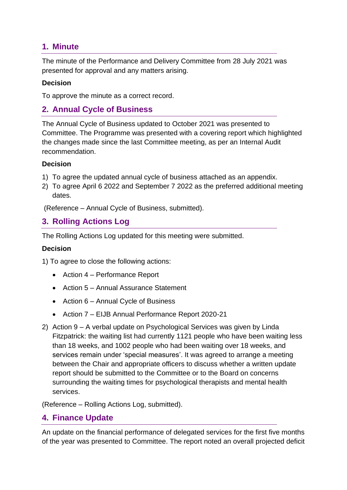# **1. Minute**

The minute of the Performance and Delivery Committee from 28 July 2021 was presented for approval and any matters arising.

#### **Decision**

To approve the minute as a correct record.

# **2. Annual Cycle of Business**

The Annual Cycle of Business updated to October 2021 was presented to Committee. The Programme was presented with a covering report which highlighted the changes made since the last Committee meeting, as per an Internal Audit recommendation.

#### **Decision**

- 1) To agree the updated annual cycle of business attached as an appendix.
- 2) To agree April 6 2022 and September 7 2022 as the preferred additional meeting dates.

(Reference – Annual Cycle of Business, submitted).

# **3. Rolling Actions Log**

The Rolling Actions Log updated for this meeting were submitted.

#### **Decision**

1) To agree to close the following actions:

- Action 4 Performance Report
- Action 5 Annual Assurance Statement
- Action 6 Annual Cycle of Business
- Action 7 EIJB Annual Performance Report 2020-21
- 2) Action 9 A verbal update on Psychological Services was given by Linda Fitzpatrick: the waiting list had currently 1121 people who have been waiting less than 18 weeks, and 1002 people who had been waiting over 18 weeks, and services remain under 'special measures'. It was agreed to arrange a meeting between the Chair and appropriate officers to discuss whether a written update report should be submitted to the Committee or to the Board on concerns surrounding the waiting times for psychological therapists and mental health services.

(Reference – Rolling Actions Log, submitted).

#### **4. Finance Update**

An update on the financial performance of delegated services for the first five months of the year was presented to Committee. The report noted an overall projected deficit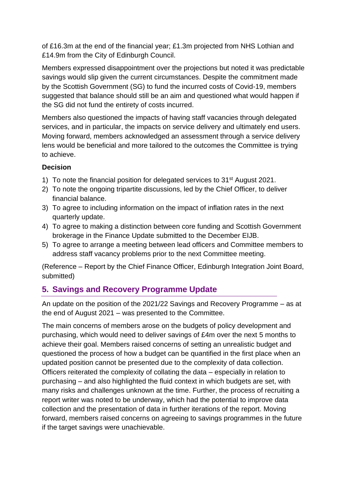of £16.3m at the end of the financial year; £1.3m projected from NHS Lothian and £14.9m from the City of Edinburgh Council.

Members expressed disappointment over the projections but noted it was predictable savings would slip given the current circumstances. Despite the commitment made by the Scottish Government (SG) to fund the incurred costs of Covid-19, members suggested that balance should still be an aim and questioned what would happen if the SG did not fund the entirety of costs incurred.

Members also questioned the impacts of having staff vacancies through delegated services, and in particular, the impacts on service delivery and ultimately end users. Moving forward, members acknowledged an assessment through a service delivery lens would be beneficial and more tailored to the outcomes the Committee is trying to achieve.

#### **Decision**

- 1) To note the financial position for delegated services to 31<sup>st</sup> August 2021.
- 2) To note the ongoing tripartite discussions, led by the Chief Officer, to deliver financial balance.
- 3) To agree to including information on the impact of inflation rates in the next quarterly update.
- 4) To agree to making a distinction between core funding and Scottish Government brokerage in the Finance Update submitted to the December EIJB.
- 5) To agree to arrange a meeting between lead officers and Committee members to address staff vacancy problems prior to the next Committee meeting.

(Reference – Report by the Chief Finance Officer, Edinburgh Integration Joint Board, submitted)

# **5. Savings and Recovery Programme Update**

An update on the position of the 2021/22 Savings and Recovery Programme – as at the end of August 2021 – was presented to the Committee.

The main concerns of members arose on the budgets of policy development and purchasing, which would need to deliver savings of £4m over the next 5 months to achieve their goal. Members raised concerns of setting an unrealistic budget and questioned the process of how a budget can be quantified in the first place when an updated position cannot be presented due to the complexity of data collection. Officers reiterated the complexity of collating the data – especially in relation to purchasing – and also highlighted the fluid context in which budgets are set, with many risks and challenges unknown at the time. Further, the process of recruiting a report writer was noted to be underway, which had the potential to improve data collection and the presentation of data in further iterations of the report. Moving forward, members raised concerns on agreeing to savings programmes in the future if the target savings were unachievable.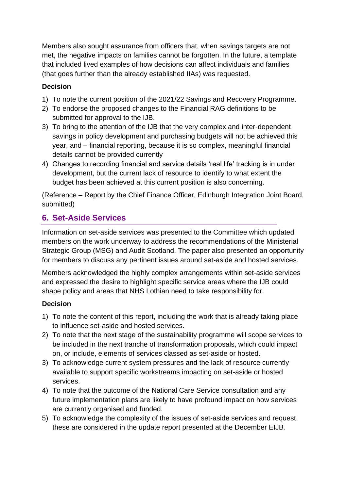Members also sought assurance from officers that, when savings targets are not met, the negative impacts on families cannot be forgotten. In the future, a template that included lived examples of how decisions can affect individuals and families (that goes further than the already established IIAs) was requested.

#### **Decision**

- 1) To note the current position of the 2021/22 Savings and Recovery Programme.
- 2) To endorse the proposed changes to the Financial RAG definitions to be submitted for approval to the IJB.
- 3) To bring to the attention of the IJB that the very complex and inter-dependent savings in policy development and purchasing budgets will not be achieved this year, and – financial reporting, because it is so complex, meaningful financial details cannot be provided currently
- 4) Changes to recording financial and service details 'real life' tracking is in under development, but the current lack of resource to identify to what extent the budget has been achieved at this current position is also concerning.

(Reference – Report by the Chief Finance Officer, Edinburgh Integration Joint Board, submitted)

# **6. Set-Aside Services**

Information on set-aside services was presented to the Committee which updated members on the work underway to address the recommendations of the Ministerial Strategic Group (MSG) and Audit Scotland. The paper also presented an opportunity for members to discuss any pertinent issues around set-aside and hosted services.

Members acknowledged the highly complex arrangements within set-aside services and expressed the desire to highlight specific service areas where the IJB could shape policy and areas that NHS Lothian need to take responsibility for.

#### **Decision**

- 1) To note the content of this report, including the work that is already taking place to influence set-aside and hosted services.
- 2) To note that the next stage of the sustainability programme will scope services to be included in the next tranche of transformation proposals, which could impact on, or include, elements of services classed as set-aside or hosted.
- 3) To acknowledge current system pressures and the lack of resource currently available to support specific workstreams impacting on set-aside or hosted services.
- 4) To note that the outcome of the National Care Service consultation and any future implementation plans are likely to have profound impact on how services are currently organised and funded.
- 5) To acknowledge the complexity of the issues of set-aside services and request these are considered in the update report presented at the December EIJB.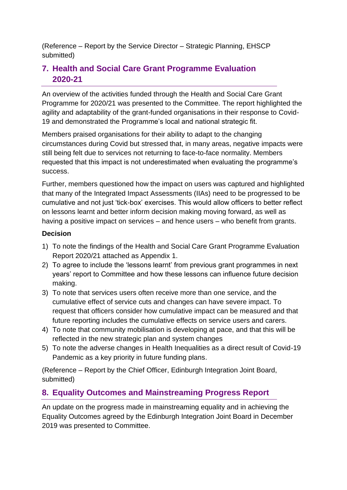(Reference – Report by the Service Director – Strategic Planning, EHSCP submitted)

# **7. Health and Social Care Grant Programme Evaluation 2020-21**

An overview of the activities funded through the Health and Social Care Grant Programme for 2020/21 was presented to the Committee. The report highlighted the agility and adaptability of the grant-funded organisations in their response to Covid-19 and demonstrated the Programme's local and national strategic fit.

Members praised organisations for their ability to adapt to the changing circumstances during Covid but stressed that, in many areas, negative impacts were still being felt due to services not returning to face-to-face normality. Members requested that this impact is not underestimated when evaluating the programme's success.

Further, members questioned how the impact on users was captured and highlighted that many of the Integrated Impact Assessments (IIAs) need to be progressed to be cumulative and not just 'tick-box' exercises. This would allow officers to better reflect on lessons learnt and better inform decision making moving forward, as well as having a positive impact on services – and hence users – who benefit from grants.

#### **Decision**

- 1) To note the findings of the Health and Social Care Grant Programme Evaluation Report 2020/21 attached as Appendix 1.
- 2) To agree to include the 'lessons learnt' from previous grant programmes in next years' report to Committee and how these lessons can influence future decision making.
- 3) To note that services users often receive more than one service, and the cumulative effect of service cuts and changes can have severe impact. To request that officers consider how cumulative impact can be measured and that future reporting includes the cumulative effects on service users and carers.
- 4) To note that community mobilisation is developing at pace, and that this will be reflected in the new strategic plan and system changes
- 5) To note the adverse changes in Health Inequalities as a direct result of Covid-19 Pandemic as a key priority in future funding plans.

(Reference – Report by the Chief Officer, Edinburgh Integration Joint Board, submitted)

# **8. Equality Outcomes and Mainstreaming Progress Report**

An update on the progress made in mainstreaming equality and in achieving the Equality Outcomes agreed by the Edinburgh Integration Joint Board in December 2019 was presented to Committee.